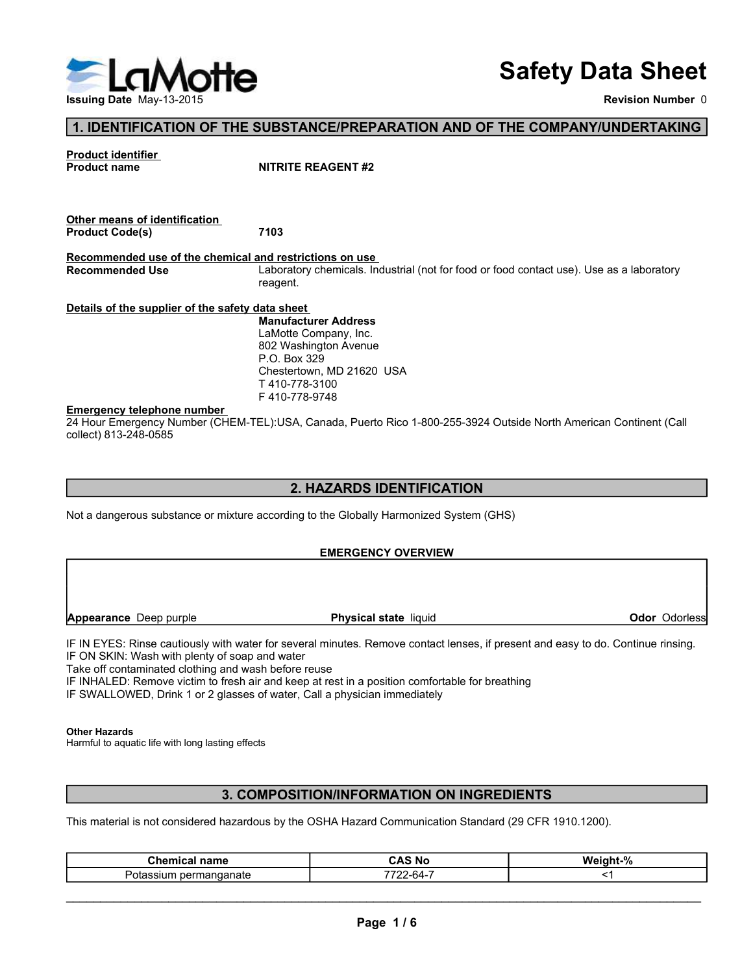

## Safety Data Sheet

#### 1. IDENTIFICATION OF THE SUBSTANCE/PREPARATION AND OF THE COMPANY/UNDERTAKING

| <b>He</b>                                                                         |                                                                                                                    | <b>Safety Data Sheet</b> |
|-----------------------------------------------------------------------------------|--------------------------------------------------------------------------------------------------------------------|--------------------------|
| <b>Issuing Date May-13-2015</b>                                                   |                                                                                                                    | <b>Revision Number 0</b> |
|                                                                                   | 1. IDENTIFICATION OF THE SUBSTANCE/PREPARATION AND OF THE COMPANY/UNDERTAKING                                      |                          |
| <b>Product identifier</b><br><b>Product name</b>                                  | <b>NITRITE REAGENT #2</b>                                                                                          |                          |
| Other means of identification<br><b>Product Code(s)</b>                           | 7103                                                                                                               |                          |
| Recommended use of the chemical and restrictions on use<br><b>Recommended Use</b> | Laboratory chemicals. Industrial (not for food or food contact use). Use as a laboratory<br>reagent.               |                          |
| Details of the supplier of the safety data sheet                                  |                                                                                                                    |                          |
|                                                                                   | <b>Manufacturer Address</b><br>LaMotte Company, Inc.                                                               |                          |
|                                                                                   | 802 Washington Avenue                                                                                              |                          |
|                                                                                   | P.O. Box 329<br>Chestertown, MD 21620 USA                                                                          |                          |
|                                                                                   | T410-778-3100                                                                                                      |                          |
| <b>Emergency telephone number</b>                                                 | F410-778-9748                                                                                                      |                          |
| collect) 813-248-0585                                                             | 24 Hour Emergency Number (CHEM-TEL):USA, Canada, Puerto Rico 1-800-255-3924 Outside North American Continent (Call |                          |

#### 2. HAZARDS IDENTIFICATION

Not a dangerous substance or mixture according to the Globally Harmonized System (GHS)

#### EMERGENCY OVERVIEW

| Odor Odorless<br>Physical state liquid<br>3. COMPOSITION/INFORMATION ON INGREDIENTS<br><b>Chemical name</b><br><b>CAS No</b><br>Weight-%<br>7722-64-7<br>$<$ 1<br>Potassium permanganate<br>Page 1/6                                                                                                                                                                                                                                                                                                                                                       |                        | <b>EMERGENCY OVERVIEW</b> |  |
|------------------------------------------------------------------------------------------------------------------------------------------------------------------------------------------------------------------------------------------------------------------------------------------------------------------------------------------------------------------------------------------------------------------------------------------------------------------------------------------------------------------------------------------------------------|------------------------|---------------------------|--|
| Take off contaminated clothing and wash before reuse                                                                                                                                                                                                                                                                                                                                                                                                                                                                                                       |                        |                           |  |
| IF IN EYES: Rinse cautiously with water for several minutes. Remove contact lenses, if present and easy to do. Continue rinsing.<br>IF ON SKIN: Wash with plenty of soap and water<br>IF INHALED: Remove victim to fresh air and keep at rest in a position comfortable for breathing<br>IF SWALLOWED, Drink 1 or 2 glasses of water, Call a physician immediately<br><b>Other Hazards</b><br>Harmful to aquatic life with long lasting effects<br>This material is not considered hazardous by the OSHA Hazard Communication Standard (29 CFR 1910.1200). | Appearance Deep purple |                           |  |
|                                                                                                                                                                                                                                                                                                                                                                                                                                                                                                                                                            |                        |                           |  |
|                                                                                                                                                                                                                                                                                                                                                                                                                                                                                                                                                            |                        |                           |  |
|                                                                                                                                                                                                                                                                                                                                                                                                                                                                                                                                                            |                        |                           |  |
|                                                                                                                                                                                                                                                                                                                                                                                                                                                                                                                                                            |                        |                           |  |
|                                                                                                                                                                                                                                                                                                                                                                                                                                                                                                                                                            |                        |                           |  |
|                                                                                                                                                                                                                                                                                                                                                                                                                                                                                                                                                            |                        |                           |  |
|                                                                                                                                                                                                                                                                                                                                                                                                                                                                                                                                                            |                        |                           |  |

#### Other Hazards

#### 3. COMPOSITION/INFORMATION ON INGREDIENTS

| Chemical<br>name                 | <b>AS No</b>      | -----<br>70 |
|----------------------------------|-------------------|-------------|
| oer<br>nanganate<br>υĸ<br>.<br>. | --<br>----<br>h4. |             |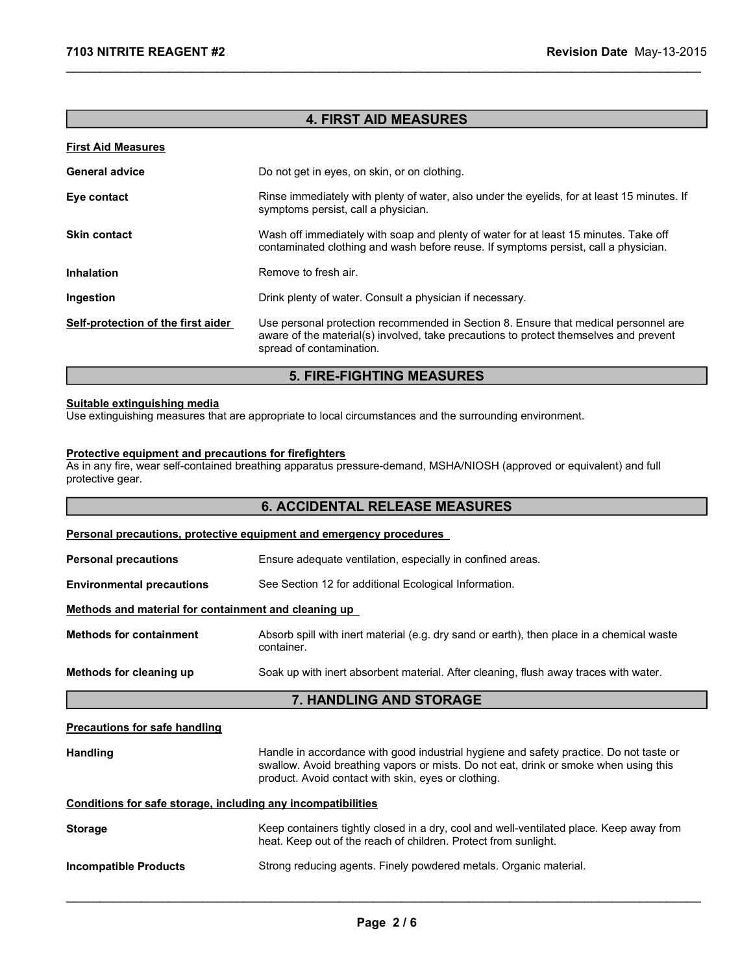#### 4. FIRST AID MEASURES

\_\_\_\_\_\_\_\_\_\_\_\_\_\_\_\_\_\_\_\_\_\_\_\_\_\_\_\_\_\_\_\_\_\_\_\_\_\_\_\_\_\_\_\_\_\_\_\_\_\_\_\_\_\_\_\_\_\_\_\_\_\_\_\_\_\_\_\_\_\_\_\_\_\_\_\_\_\_\_\_\_\_\_\_\_\_\_\_\_\_\_\_\_

#### First Aid Measures

| <b>General advice</b>              | Do not get in eyes, on skin, or on clothing.                                                                                                                                                             |
|------------------------------------|----------------------------------------------------------------------------------------------------------------------------------------------------------------------------------------------------------|
| Eye contact                        | Rinse immediately with plenty of water, also under the eyelids, for at least 15 minutes. If<br>symptoms persist, call a physician.                                                                       |
| <b>Skin contact</b>                | Wash off immediately with soap and plenty of water for at least 15 minutes. Take off<br>contaminated clothing and wash before reuse. If symptoms persist, call a physician.                              |
| <b>Inhalation</b>                  | Remove to fresh air.                                                                                                                                                                                     |
| Ingestion                          | Drink plenty of water. Consult a physician if necessary.                                                                                                                                                 |
| Self-protection of the first aider | Use personal protection recommended in Section 8. Ensure that medical personnel are<br>aware of the material(s) involved, take precautions to protect themselves and prevent<br>spread of contamination. |

#### 5. FIRE-FIGHTING MEASURES

#### Suitable extinguishing media

Use extinguishing measures that are appropriate to local circumstances and the surrounding environment.

#### Protective equipment and precautions for firefighters

As in any fire, wear self-contained breathing apparatus pressure-demand, MSHA/NIOSH (approved or equivalent) and full protective gear.

|                                                              | <b>6. ACCIDENTAL RELEASE MEASURES</b>                                                                                                                                                                                                 |
|--------------------------------------------------------------|---------------------------------------------------------------------------------------------------------------------------------------------------------------------------------------------------------------------------------------|
|                                                              | <b>Personal precautions, protective equipment and emergency procedures</b>                                                                                                                                                            |
| <b>Personal precautions</b>                                  | Ensure adequate ventilation, especially in confined areas.                                                                                                                                                                            |
| <b>Environmental precautions</b>                             | See Section 12 for additional Ecological Information.                                                                                                                                                                                 |
| Methods and material for containment and cleaning up         |                                                                                                                                                                                                                                       |
| <b>Methods for containment</b>                               | Absorb spill with inert material (e.g. dry sand or earth), then place in a chemical waste<br>container.                                                                                                                               |
| Methods for cleaning up                                      | Soak up with inert absorbent material. After cleaning, flush away traces with water.                                                                                                                                                  |
|                                                              | 7. HANDLING AND STORAGE                                                                                                                                                                                                               |
| <b>Precautions for safe handling</b>                         |                                                                                                                                                                                                                                       |
| <b>Handling</b>                                              | Handle in accordance with good industrial hygiene and safety practice. Do not taste or<br>swallow. Avoid breathing vapors or mists. Do not eat, drink or smoke when using this<br>product. Avoid contact with skin, eyes or clothing. |
| Conditions for safe storage, including any incompatibilities |                                                                                                                                                                                                                                       |
| <b>Storage</b>                                               | Keep containers tightly closed in a dry, cool and well-ventilated place. Keep away from<br>heat. Keep out of the reach of children. Protect from sunlight.                                                                            |
| <b>Incompatible Products</b>                                 | Strong reducing agents. Finely powdered metals. Organic material.                                                                                                                                                                     |
|                                                              |                                                                                                                                                                                                                                       |
|                                                              | Page 2/6                                                                                                                                                                                                                              |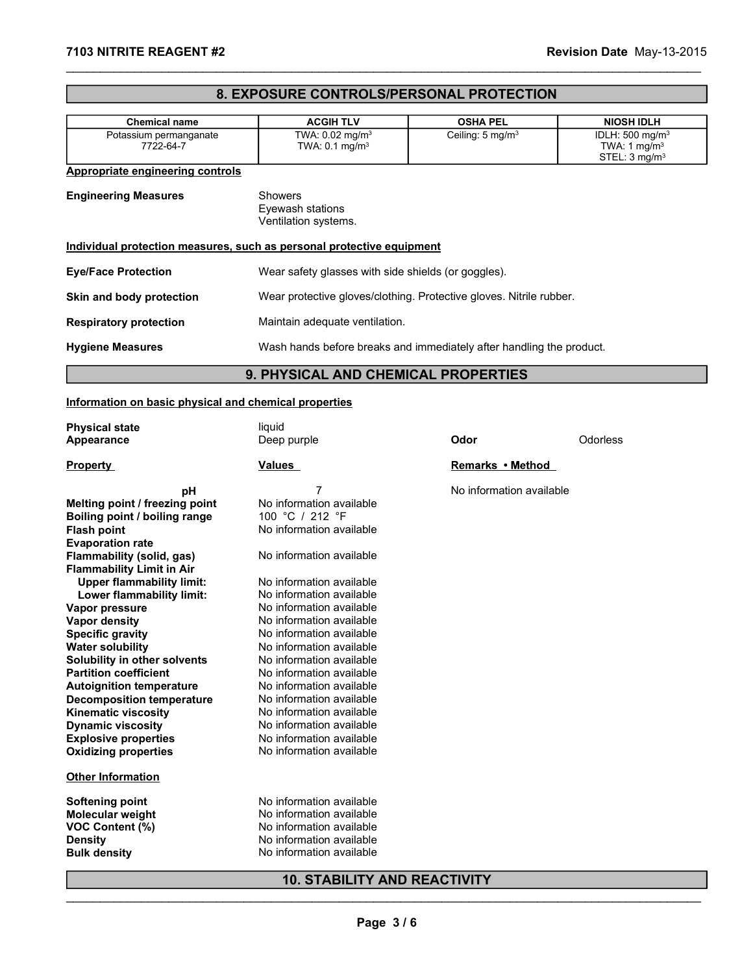### **8. EXPOSURE CONTROLS/PERSONAL PROTECTION**

| 7103 NITRITE REAGENT #2                                                                                                                                                                                              |                                                                                                                                                                  |                              | Revision Date May-13-2015                                                           |
|----------------------------------------------------------------------------------------------------------------------------------------------------------------------------------------------------------------------|------------------------------------------------------------------------------------------------------------------------------------------------------------------|------------------------------|-------------------------------------------------------------------------------------|
|                                                                                                                                                                                                                      | 8. EXPOSURE CONTROLS/PERSONAL PROTECTION                                                                                                                         |                              |                                                                                     |
| <b>Chemical name</b>                                                                                                                                                                                                 | <b>ACGIH TLV</b>                                                                                                                                                 | <b>OSHA PEL</b>              | <b>NIOSH IDLH</b>                                                                   |
| Potassium permanganate<br>7722-64-7                                                                                                                                                                                  | TWA: 0.02 mg/m <sup>3</sup><br>TWA: 0.1 mg/m <sup>3</sup>                                                                                                        | Ceiling: 5 mg/m <sup>3</sup> | IDLH: 500 mg/m <sup>3</sup><br>TWA: $1 \text{ mg/m}^3$<br>STEL: 3 mg/m <sup>3</sup> |
| <b>Appropriate engineering controls</b>                                                                                                                                                                              |                                                                                                                                                                  |                              |                                                                                     |
| <b>Engineering Measures</b>                                                                                                                                                                                          | Showers<br>Eyewash stations<br>Ventilation systems.                                                                                                              |                              |                                                                                     |
|                                                                                                                                                                                                                      | Individual protection measures, such as personal protective equipment                                                                                            |                              |                                                                                     |
| <b>Eye/Face Protection</b>                                                                                                                                                                                           | Wear safety glasses with side shields (or goggles).                                                                                                              |                              |                                                                                     |
| Skin and body protection                                                                                                                                                                                             | Wear protective gloves/clothing. Protective gloves. Nitrile rubber.                                                                                              |                              |                                                                                     |
| <b>Respiratory protection</b>                                                                                                                                                                                        | Maintain adequate ventilation.                                                                                                                                   |                              |                                                                                     |
| <b>Hygiene Measures</b>                                                                                                                                                                                              | Wash hands before breaks and immediately after handling the product.                                                                                             |                              |                                                                                     |
|                                                                                                                                                                                                                      | 9. PHYSICAL AND CHEMICAL PROPERTIES                                                                                                                              |                              |                                                                                     |
| Information on basic physical and chemical properties                                                                                                                                                                |                                                                                                                                                                  |                              |                                                                                     |
| <b>Physical state</b>                                                                                                                                                                                                | liquid                                                                                                                                                           |                              |                                                                                     |
| <b>Appearance</b>                                                                                                                                                                                                    | Deep purple                                                                                                                                                      | Odor                         | Odorless                                                                            |
| <b>Property</b>                                                                                                                                                                                                      | <b>Values</b>                                                                                                                                                    | Remarks • Method             |                                                                                     |
| pH<br>Melting point / freezing point<br>Boiling point / boiling range<br>Flash point<br><b>Evaporation rate</b><br>Flammability (solid, gas)<br><b>Flammability Limit in Air</b><br><b>Upper flammability limit:</b> | 7<br>No information available<br>100 °C / 212 °F<br>No information available<br>No information available<br>No information available<br>No information available | No information available     |                                                                                     |

## **9. PHYSICAL AND CHEMICAL PROPERTIES**

#### Information on basic physical and chemical properties

| <b>Physical state</b><br>Deep purple<br>Odor<br>Odorless<br>Appearance<br><b>Values</b><br><b>Remarks • Method</b><br>7<br>No information available<br>pH<br>No information available<br>100 °C / 212 °F<br>No information available<br>No information available<br>No information available<br><b>Upper flammability limit:</b><br>No information available<br>Lower flammability limit:<br>No information available<br>No information available<br>No information available<br>No information available<br>No information available<br>No information available<br>No information available<br>No information available<br>No information available<br>No information available<br>No information available<br>No information available<br>No information available<br>No information available<br>No information available<br>No information available<br>No information available<br><b>10. STABILITY AND REACTIVITY</b><br>Page 3/6 |  |
|------------------------------------------------------------------------------------------------------------------------------------------------------------------------------------------------------------------------------------------------------------------------------------------------------------------------------------------------------------------------------------------------------------------------------------------------------------------------------------------------------------------------------------------------------------------------------------------------------------------------------------------------------------------------------------------------------------------------------------------------------------------------------------------------------------------------------------------------------------------------------------------------------------------------------------------|--|
| <b>Property</b><br>Melting point / freezing point<br>Boiling point / boiling range<br><b>Flash point</b><br><b>Evaporation rate</b><br>Flammability (solid, gas)<br><b>Flammability Limit in Air</b><br>Vapor pressure<br>Vapor density<br><b>Specific gravity</b><br><b>Water solubility</b><br>Solubility in other solvents<br><b>Partition coefficient</b><br><b>Autoignition temperature</b><br><b>Decomposition temperature</b><br><b>Kinematic viscosity</b><br><b>Dynamic viscosity</b><br><b>Explosive properties</b><br><b>Oxidizing properties</b><br><b>Other Information</b><br><b>Softening point</b><br>Molecular weight<br><b>Density</b><br><b>Bulk density</b>                                                                                                                                                                                                                                                          |  |
| VOC Content (%)                                                                                                                                                                                                                                                                                                                                                                                                                                                                                                                                                                                                                                                                                                                                                                                                                                                                                                                          |  |
|                                                                                                                                                                                                                                                                                                                                                                                                                                                                                                                                                                                                                                                                                                                                                                                                                                                                                                                                          |  |
|                                                                                                                                                                                                                                                                                                                                                                                                                                                                                                                                                                                                                                                                                                                                                                                                                                                                                                                                          |  |
|                                                                                                                                                                                                                                                                                                                                                                                                                                                                                                                                                                                                                                                                                                                                                                                                                                                                                                                                          |  |
|                                                                                                                                                                                                                                                                                                                                                                                                                                                                                                                                                                                                                                                                                                                                                                                                                                                                                                                                          |  |
|                                                                                                                                                                                                                                                                                                                                                                                                                                                                                                                                                                                                                                                                                                                                                                                                                                                                                                                                          |  |
|                                                                                                                                                                                                                                                                                                                                                                                                                                                                                                                                                                                                                                                                                                                                                                                                                                                                                                                                          |  |
|                                                                                                                                                                                                                                                                                                                                                                                                                                                                                                                                                                                                                                                                                                                                                                                                                                                                                                                                          |  |
|                                                                                                                                                                                                                                                                                                                                                                                                                                                                                                                                                                                                                                                                                                                                                                                                                                                                                                                                          |  |
|                                                                                                                                                                                                                                                                                                                                                                                                                                                                                                                                                                                                                                                                                                                                                                                                                                                                                                                                          |  |
|                                                                                                                                                                                                                                                                                                                                                                                                                                                                                                                                                                                                                                                                                                                                                                                                                                                                                                                                          |  |
|                                                                                                                                                                                                                                                                                                                                                                                                                                                                                                                                                                                                                                                                                                                                                                                                                                                                                                                                          |  |
|                                                                                                                                                                                                                                                                                                                                                                                                                                                                                                                                                                                                                                                                                                                                                                                                                                                                                                                                          |  |
|                                                                                                                                                                                                                                                                                                                                                                                                                                                                                                                                                                                                                                                                                                                                                                                                                                                                                                                                          |  |
|                                                                                                                                                                                                                                                                                                                                                                                                                                                                                                                                                                                                                                                                                                                                                                                                                                                                                                                                          |  |
|                                                                                                                                                                                                                                                                                                                                                                                                                                                                                                                                                                                                                                                                                                                                                                                                                                                                                                                                          |  |
|                                                                                                                                                                                                                                                                                                                                                                                                                                                                                                                                                                                                                                                                                                                                                                                                                                                                                                                                          |  |
|                                                                                                                                                                                                                                                                                                                                                                                                                                                                                                                                                                                                                                                                                                                                                                                                                                                                                                                                          |  |
|                                                                                                                                                                                                                                                                                                                                                                                                                                                                                                                                                                                                                                                                                                                                                                                                                                                                                                                                          |  |
|                                                                                                                                                                                                                                                                                                                                                                                                                                                                                                                                                                                                                                                                                                                                                                                                                                                                                                                                          |  |
|                                                                                                                                                                                                                                                                                                                                                                                                                                                                                                                                                                                                                                                                                                                                                                                                                                                                                                                                          |  |
|                                                                                                                                                                                                                                                                                                                                                                                                                                                                                                                                                                                                                                                                                                                                                                                                                                                                                                                                          |  |
|                                                                                                                                                                                                                                                                                                                                                                                                                                                                                                                                                                                                                                                                                                                                                                                                                                                                                                                                          |  |
|                                                                                                                                                                                                                                                                                                                                                                                                                                                                                                                                                                                                                                                                                                                                                                                                                                                                                                                                          |  |
|                                                                                                                                                                                                                                                                                                                                                                                                                                                                                                                                                                                                                                                                                                                                                                                                                                                                                                                                          |  |
|                                                                                                                                                                                                                                                                                                                                                                                                                                                                                                                                                                                                                                                                                                                                                                                                                                                                                                                                          |  |
|                                                                                                                                                                                                                                                                                                                                                                                                                                                                                                                                                                                                                                                                                                                                                                                                                                                                                                                                          |  |
|                                                                                                                                                                                                                                                                                                                                                                                                                                                                                                                                                                                                                                                                                                                                                                                                                                                                                                                                          |  |
|                                                                                                                                                                                                                                                                                                                                                                                                                                                                                                                                                                                                                                                                                                                                                                                                                                                                                                                                          |  |
|                                                                                                                                                                                                                                                                                                                                                                                                                                                                                                                                                                                                                                                                                                                                                                                                                                                                                                                                          |  |
|                                                                                                                                                                                                                                                                                                                                                                                                                                                                                                                                                                                                                                                                                                                                                                                                                                                                                                                                          |  |
|                                                                                                                                                                                                                                                                                                                                                                                                                                                                                                                                                                                                                                                                                                                                                                                                                                                                                                                                          |  |
|                                                                                                                                                                                                                                                                                                                                                                                                                                                                                                                                                                                                                                                                                                                                                                                                                                                                                                                                          |  |
|                                                                                                                                                                                                                                                                                                                                                                                                                                                                                                                                                                                                                                                                                                                                                                                                                                                                                                                                          |  |
|                                                                                                                                                                                                                                                                                                                                                                                                                                                                                                                                                                                                                                                                                                                                                                                                                                                                                                                                          |  |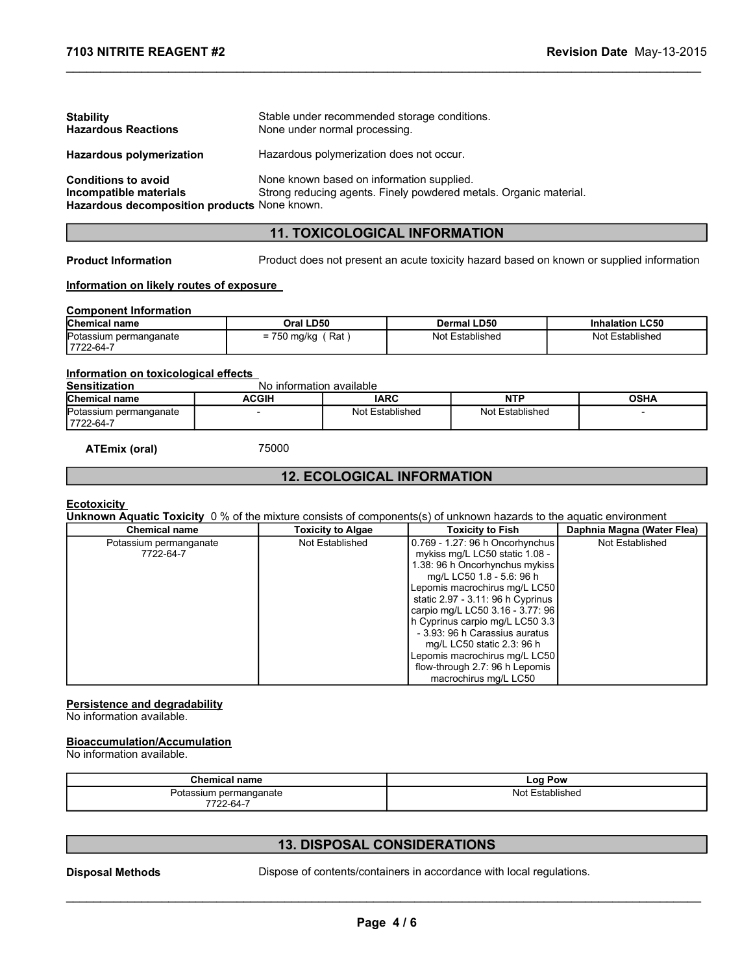| 7103 NITRITE REAGENT #2                                      |                                              |                                      |                                                                                          | Revision Date May-13-2015 |  |
|--------------------------------------------------------------|----------------------------------------------|--------------------------------------|------------------------------------------------------------------------------------------|---------------------------|--|
|                                                              |                                              |                                      |                                                                                          |                           |  |
|                                                              |                                              |                                      |                                                                                          |                           |  |
| <b>Stability</b>                                             | Stable under recommended storage conditions. |                                      |                                                                                          |                           |  |
| <b>Hazardous Reactions</b>                                   | None under normal processing.                |                                      |                                                                                          |                           |  |
| Hazardous polymerization                                     | Hazardous polymerization does not occur.     |                                      |                                                                                          |                           |  |
| <b>Conditions to avoid</b><br>Incompatible materials         | None known based on information supplied.    |                                      | Strong reducing agents. Finely powdered metals. Organic material.                        |                           |  |
| Hazardous decomposition products None known.                 |                                              |                                      |                                                                                          |                           |  |
|                                                              |                                              | <b>11. TOXICOLOGICAL INFORMATION</b> |                                                                                          |                           |  |
| <b>Product Information</b>                                   |                                              |                                      | Product does not present an acute toxicity hazard based on known or supplied information |                           |  |
|                                                              |                                              |                                      |                                                                                          |                           |  |
| Information on likely routes of exposure                     |                                              |                                      |                                                                                          |                           |  |
| <b>Component Information</b><br>Chemical name                | Oral LD50                                    |                                      | <b>Dermal LD50</b>                                                                       | <b>Inhalation LC50</b>    |  |
| Potassium permanganate                                       | $= 750$ mg/kg (Rat)                          |                                      | Not Established                                                                          | Not Established           |  |
| 7722-64-7                                                    |                                              |                                      |                                                                                          |                           |  |
| Information on toxicological effects<br><b>Sensitization</b> | No information available                     |                                      |                                                                                          |                           |  |
| Chemical name                                                | <b>ACGIH</b>                                 | <b>IARC</b>                          | NTP                                                                                      | <b>OSHA</b>               |  |
| Potassium permanganate<br>7722-64-7                          | $\overline{a}$                               | Not Established                      | Not Established                                                                          |                           |  |
| <b>ATEmix (oral)</b>                                         | 75000                                        |                                      |                                                                                          |                           |  |
|                                                              |                                              | <b>12. ECOLOGICAL INFORMATION</b>    |                                                                                          |                           |  |
|                                                              |                                              |                                      |                                                                                          |                           |  |

#### 11. TOXICOLOGICAL INFORMATION

#### Information on likely routes of exposure

#### Component Information

| <b>Chemical name</b>                | Oral LD50                       | <b>Dermal LD50</b> | <b>Inhalation LC50</b> |
|-------------------------------------|---------------------------------|--------------------|------------------------|
| Potassium permanganate<br>7722-64-7 | Rat<br>750 mg/kg<br>$-1$<br>$-$ | Not Established    | Not Established        |

#### Information on toxicological effects

| <b>Sensitization</b>                 | No information available |                 |                 |      |
|--------------------------------------|--------------------------|-----------------|-----------------|------|
| <b>Chemical name</b>                 | ACGIH                    | <b>IARC</b>     | <b>NTP</b>      | OSHA |
| Potassium permanganate<br>17722-64-7 |                          | Not Established | Not Established |      |

#### 12. ECOLOGICAL INFORMATION

#### **Ecotoxicity**

| Product does not present an acute toxicity hazard based on known or supplied information<br><b>Product Information</b><br>Information on likely routes of exposure<br>Oral LD50<br><b>Dermal LD50</b><br><b>Inhalation LC50</b><br>$= 750$ mg/kg (Rat)<br>Not Established<br>Not Established<br>7722-64-7<br>No information available<br>Chemical name<br><b>NTP</b><br><b>ACGIH</b><br><b>IARC</b><br><b>OSHA</b><br>Potassium permanganate<br>Not Established<br>Not Established<br>7722-64-7<br>75000<br><b>ATEmix (oral)</b><br><b>12. ECOLOGICAL INFORMATION</b><br>Unknown Aquatic Toxicity 0 % of the mixture consists of components(s) of unknown hazards to the aquatic environment<br><b>Toxicity to Fish</b><br>Daphnia Magna (Water Flea)<br><b>Chemical name</b><br><b>Toxicity to Algae</b><br>0.769 - 1.27: 96 h Oncorhynchus<br>Not Established<br>Not Established<br>Potassium permanganate<br>mykiss mg/L LC50 static 1.08 -<br>7722-64-7<br>1.38: 96 h Oncorhynchus mykiss<br>mg/L LC50 1.8 - 5.6: 96 h<br>Lepomis macrochirus mg/L LC50<br>static 2.97 - 3.11: 96 h Cyprinus<br>carpio mg/L LC50 3.16 - 3.77: 96<br>h Cyprinus carpio mg/L LC50 3.3<br>- 3.93: 96 h Carassius auratus<br>mg/L LC50 static 2.3: 96 h<br>Lepomis macrochirus mg/L LC50<br>flow-through 2.7: 96 h Lepomis<br>macrochirus mg/L LC50<br><b>Chemical name</b><br><b>Log Pow</b><br>Potassium permanganate<br>Not Established<br>7722-64-7<br><b>13. DISPOSAL CONSIDERATIONS</b><br>Dispose of contents/containers in accordance with local regulations.<br>Page 4/6 |  |  |  |
|-------------------------------------------------------------------------------------------------------------------------------------------------------------------------------------------------------------------------------------------------------------------------------------------------------------------------------------------------------------------------------------------------------------------------------------------------------------------------------------------------------------------------------------------------------------------------------------------------------------------------------------------------------------------------------------------------------------------------------------------------------------------------------------------------------------------------------------------------------------------------------------------------------------------------------------------------------------------------------------------------------------------------------------------------------------------------------------------------------------------------------------------------------------------------------------------------------------------------------------------------------------------------------------------------------------------------------------------------------------------------------------------------------------------------------------------------------------------------------------------------------------------------------------------------------------------|--|--|--|
| <b>Component Information</b><br>Chemical name<br>Potassium permanganate<br>Information on toxicological effects<br><b>Sensitization</b><br><b>Ecotoxicity</b><br>Persistence and degradability<br>No information available.<br><b>Bioaccumulation/Accumulation</b><br>No information available.<br><b>Disposal Methods</b>                                                                                                                                                                                                                                                                                                                                                                                                                                                                                                                                                                                                                                                                                                                                                                                                                                                                                                                                                                                                                                                                                                                                                                                                                                        |  |  |  |
|                                                                                                                                                                                                                                                                                                                                                                                                                                                                                                                                                                                                                                                                                                                                                                                                                                                                                                                                                                                                                                                                                                                                                                                                                                                                                                                                                                                                                                                                                                                                                                   |  |  |  |
|                                                                                                                                                                                                                                                                                                                                                                                                                                                                                                                                                                                                                                                                                                                                                                                                                                                                                                                                                                                                                                                                                                                                                                                                                                                                                                                                                                                                                                                                                                                                                                   |  |  |  |
|                                                                                                                                                                                                                                                                                                                                                                                                                                                                                                                                                                                                                                                                                                                                                                                                                                                                                                                                                                                                                                                                                                                                                                                                                                                                                                                                                                                                                                                                                                                                                                   |  |  |  |
|                                                                                                                                                                                                                                                                                                                                                                                                                                                                                                                                                                                                                                                                                                                                                                                                                                                                                                                                                                                                                                                                                                                                                                                                                                                                                                                                                                                                                                                                                                                                                                   |  |  |  |
|                                                                                                                                                                                                                                                                                                                                                                                                                                                                                                                                                                                                                                                                                                                                                                                                                                                                                                                                                                                                                                                                                                                                                                                                                                                                                                                                                                                                                                                                                                                                                                   |  |  |  |
|                                                                                                                                                                                                                                                                                                                                                                                                                                                                                                                                                                                                                                                                                                                                                                                                                                                                                                                                                                                                                                                                                                                                                                                                                                                                                                                                                                                                                                                                                                                                                                   |  |  |  |
|                                                                                                                                                                                                                                                                                                                                                                                                                                                                                                                                                                                                                                                                                                                                                                                                                                                                                                                                                                                                                                                                                                                                                                                                                                                                                                                                                                                                                                                                                                                                                                   |  |  |  |
|                                                                                                                                                                                                                                                                                                                                                                                                                                                                                                                                                                                                                                                                                                                                                                                                                                                                                                                                                                                                                                                                                                                                                                                                                                                                                                                                                                                                                                                                                                                                                                   |  |  |  |
|                                                                                                                                                                                                                                                                                                                                                                                                                                                                                                                                                                                                                                                                                                                                                                                                                                                                                                                                                                                                                                                                                                                                                                                                                                                                                                                                                                                                                                                                                                                                                                   |  |  |  |
|                                                                                                                                                                                                                                                                                                                                                                                                                                                                                                                                                                                                                                                                                                                                                                                                                                                                                                                                                                                                                                                                                                                                                                                                                                                                                                                                                                                                                                                                                                                                                                   |  |  |  |
|                                                                                                                                                                                                                                                                                                                                                                                                                                                                                                                                                                                                                                                                                                                                                                                                                                                                                                                                                                                                                                                                                                                                                                                                                                                                                                                                                                                                                                                                                                                                                                   |  |  |  |
|                                                                                                                                                                                                                                                                                                                                                                                                                                                                                                                                                                                                                                                                                                                                                                                                                                                                                                                                                                                                                                                                                                                                                                                                                                                                                                                                                                                                                                                                                                                                                                   |  |  |  |
|                                                                                                                                                                                                                                                                                                                                                                                                                                                                                                                                                                                                                                                                                                                                                                                                                                                                                                                                                                                                                                                                                                                                                                                                                                                                                                                                                                                                                                                                                                                                                                   |  |  |  |
|                                                                                                                                                                                                                                                                                                                                                                                                                                                                                                                                                                                                                                                                                                                                                                                                                                                                                                                                                                                                                                                                                                                                                                                                                                                                                                                                                                                                                                                                                                                                                                   |  |  |  |
|                                                                                                                                                                                                                                                                                                                                                                                                                                                                                                                                                                                                                                                                                                                                                                                                                                                                                                                                                                                                                                                                                                                                                                                                                                                                                                                                                                                                                                                                                                                                                                   |  |  |  |
|                                                                                                                                                                                                                                                                                                                                                                                                                                                                                                                                                                                                                                                                                                                                                                                                                                                                                                                                                                                                                                                                                                                                                                                                                                                                                                                                                                                                                                                                                                                                                                   |  |  |  |
|                                                                                                                                                                                                                                                                                                                                                                                                                                                                                                                                                                                                                                                                                                                                                                                                                                                                                                                                                                                                                                                                                                                                                                                                                                                                                                                                                                                                                                                                                                                                                                   |  |  |  |
|                                                                                                                                                                                                                                                                                                                                                                                                                                                                                                                                                                                                                                                                                                                                                                                                                                                                                                                                                                                                                                                                                                                                                                                                                                                                                                                                                                                                                                                                                                                                                                   |  |  |  |
|                                                                                                                                                                                                                                                                                                                                                                                                                                                                                                                                                                                                                                                                                                                                                                                                                                                                                                                                                                                                                                                                                                                                                                                                                                                                                                                                                                                                                                                                                                                                                                   |  |  |  |
|                                                                                                                                                                                                                                                                                                                                                                                                                                                                                                                                                                                                                                                                                                                                                                                                                                                                                                                                                                                                                                                                                                                                                                                                                                                                                                                                                                                                                                                                                                                                                                   |  |  |  |
|                                                                                                                                                                                                                                                                                                                                                                                                                                                                                                                                                                                                                                                                                                                                                                                                                                                                                                                                                                                                                                                                                                                                                                                                                                                                                                                                                                                                                                                                                                                                                                   |  |  |  |
|                                                                                                                                                                                                                                                                                                                                                                                                                                                                                                                                                                                                                                                                                                                                                                                                                                                                                                                                                                                                                                                                                                                                                                                                                                                                                                                                                                                                                                                                                                                                                                   |  |  |  |
|                                                                                                                                                                                                                                                                                                                                                                                                                                                                                                                                                                                                                                                                                                                                                                                                                                                                                                                                                                                                                                                                                                                                                                                                                                                                                                                                                                                                                                                                                                                                                                   |  |  |  |
|                                                                                                                                                                                                                                                                                                                                                                                                                                                                                                                                                                                                                                                                                                                                                                                                                                                                                                                                                                                                                                                                                                                                                                                                                                                                                                                                                                                                                                                                                                                                                                   |  |  |  |
|                                                                                                                                                                                                                                                                                                                                                                                                                                                                                                                                                                                                                                                                                                                                                                                                                                                                                                                                                                                                                                                                                                                                                                                                                                                                                                                                                                                                                                                                                                                                                                   |  |  |  |
|                                                                                                                                                                                                                                                                                                                                                                                                                                                                                                                                                                                                                                                                                                                                                                                                                                                                                                                                                                                                                                                                                                                                                                                                                                                                                                                                                                                                                                                                                                                                                                   |  |  |  |
|                                                                                                                                                                                                                                                                                                                                                                                                                                                                                                                                                                                                                                                                                                                                                                                                                                                                                                                                                                                                                                                                                                                                                                                                                                                                                                                                                                                                                                                                                                                                                                   |  |  |  |
|                                                                                                                                                                                                                                                                                                                                                                                                                                                                                                                                                                                                                                                                                                                                                                                                                                                                                                                                                                                                                                                                                                                                                                                                                                                                                                                                                                                                                                                                                                                                                                   |  |  |  |
|                                                                                                                                                                                                                                                                                                                                                                                                                                                                                                                                                                                                                                                                                                                                                                                                                                                                                                                                                                                                                                                                                                                                                                                                                                                                                                                                                                                                                                                                                                                                                                   |  |  |  |
|                                                                                                                                                                                                                                                                                                                                                                                                                                                                                                                                                                                                                                                                                                                                                                                                                                                                                                                                                                                                                                                                                                                                                                                                                                                                                                                                                                                                                                                                                                                                                                   |  |  |  |
|                                                                                                                                                                                                                                                                                                                                                                                                                                                                                                                                                                                                                                                                                                                                                                                                                                                                                                                                                                                                                                                                                                                                                                                                                                                                                                                                                                                                                                                                                                                                                                   |  |  |  |
|                                                                                                                                                                                                                                                                                                                                                                                                                                                                                                                                                                                                                                                                                                                                                                                                                                                                                                                                                                                                                                                                                                                                                                                                                                                                                                                                                                                                                                                                                                                                                                   |  |  |  |
|                                                                                                                                                                                                                                                                                                                                                                                                                                                                                                                                                                                                                                                                                                                                                                                                                                                                                                                                                                                                                                                                                                                                                                                                                                                                                                                                                                                                                                                                                                                                                                   |  |  |  |
|                                                                                                                                                                                                                                                                                                                                                                                                                                                                                                                                                                                                                                                                                                                                                                                                                                                                                                                                                                                                                                                                                                                                                                                                                                                                                                                                                                                                                                                                                                                                                                   |  |  |  |
|                                                                                                                                                                                                                                                                                                                                                                                                                                                                                                                                                                                                                                                                                                                                                                                                                                                                                                                                                                                                                                                                                                                                                                                                                                                                                                                                                                                                                                                                                                                                                                   |  |  |  |
|                                                                                                                                                                                                                                                                                                                                                                                                                                                                                                                                                                                                                                                                                                                                                                                                                                                                                                                                                                                                                                                                                                                                                                                                                                                                                                                                                                                                                                                                                                                                                                   |  |  |  |
|                                                                                                                                                                                                                                                                                                                                                                                                                                                                                                                                                                                                                                                                                                                                                                                                                                                                                                                                                                                                                                                                                                                                                                                                                                                                                                                                                                                                                                                                                                                                                                   |  |  |  |
|                                                                                                                                                                                                                                                                                                                                                                                                                                                                                                                                                                                                                                                                                                                                                                                                                                                                                                                                                                                                                                                                                                                                                                                                                                                                                                                                                                                                                                                                                                                                                                   |  |  |  |

#### Persistence and degradability

#### Bioaccumulation/Accumulation

| --<br>Chemical<br>∣name                                                        | <b>Log Pow</b>          |  |
|--------------------------------------------------------------------------------|-------------------------|--|
| Potassium permanganate<br>7700<br>$\sim$<br>22-64-<br>$\overline{\phantom{a}}$ | stablished<br>۰۱^۱<br>w |  |

#### 13. DISPOSAL CONSIDERATIONS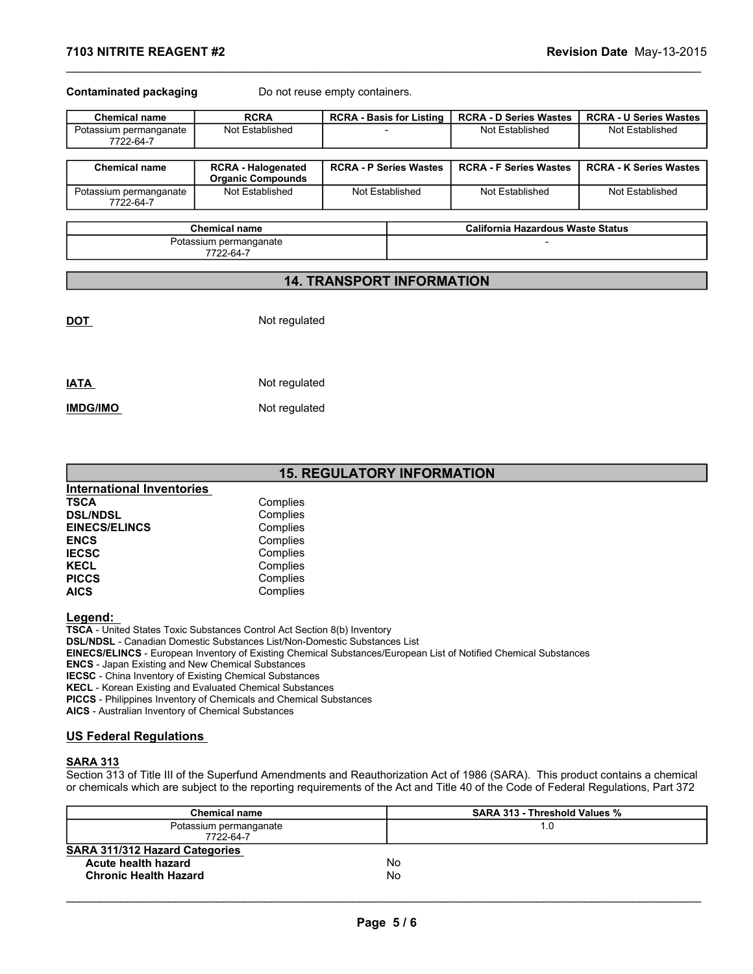| 7103 NITRITE REAGENT #2             |                                                |                                |                                                             |                                                                      | Revision Date May-13-2015     |
|-------------------------------------|------------------------------------------------|--------------------------------|-------------------------------------------------------------|----------------------------------------------------------------------|-------------------------------|
| <b>Contaminated packaging</b>       |                                                | Do not reuse empty containers. |                                                             |                                                                      |                               |
| <b>Chemical name</b>                | <b>RCRA</b>                                    |                                |                                                             | <b>RCRA - D Series Wastes</b>                                        | <b>RCRA - U Series Wastes</b> |
| Potassium permanganate<br>7722-64-7 | Not Established                                |                                | <b>RCRA - Basis for Listing</b><br>$\overline{\phantom{a}}$ | Not Established                                                      | Not Established               |
| <b>Chemical name</b>                | <b>RCRA - Halogenated</b><br>Organic Compounds |                                | <b>RCRA - P Series Wastes</b>                               | <b>RCRA - F Series Wastes</b>                                        |                               |
| Potassium permanganate<br>7722-64-7 | Not Established                                |                                | Not Established                                             | Not Established                                                      | Not Established               |
|                                     |                                                |                                |                                                             |                                                                      | <b>RCRA - K Series Wastes</b> |
|                                     | Chemical name<br>Potassium permanganate        |                                |                                                             | <b>California Hazardous Waste Status</b><br>$\overline{\phantom{a}}$ |                               |
|                                     | 7722-64-7                                      |                                |                                                             |                                                                      |                               |

| Chemical name                       | <b>RURA - Halogenated</b><br><b>Organic Compounds</b> | RCRA - P Series Wastes | RCRA - F Series Wastes | <b>RURA - K Series Wastes</b> |
|-------------------------------------|-------------------------------------------------------|------------------------|------------------------|-------------------------------|
| Potassium permanganate<br>7722-64-7 | Not Established                                       | Not Established        | Not Established        | Not Established               |

| <b>Chemical name</b>     | Califorr |
|--------------------------|----------|
| Potassium permanganate   |          |
| $\overline{\phantom{a}}$ |          |

#### 7722-64-7

#### 14. TRANSPORT INFORMATION

| <b>IATA</b>     | Not regulated |  |
|-----------------|---------------|--|
| <b>IMDG/IMO</b> | Not regulated |  |

DOT Not regulated

#### 15. REGULATORY INFORMATION

| <b>International Inventories</b> |          |
|----------------------------------|----------|
| <b>TSCA</b>                      | Complies |
| <b>DSL/NDSL</b>                  | Complies |
| <b>EINECS/ELINCS</b>             | Complies |
| <b>ENCS</b>                      | Complies |
| <b>IECSC</b>                     | Complies |
| <b>KECL</b>                      | Complies |
| <b>PICCS</b>                     | Complies |
| <b>AICS</b>                      | Complies |

#### US Federal Regulations

#### SARA 313

| <b>EINECS/ELINCS</b>                                                                                                          | Complies<br>Complies                                                                                             |                                                                                                                                   |  |
|-------------------------------------------------------------------------------------------------------------------------------|------------------------------------------------------------------------------------------------------------------|-----------------------------------------------------------------------------------------------------------------------------------|--|
| <b>ENCS</b>                                                                                                                   | Complies                                                                                                         |                                                                                                                                   |  |
| <b>IECSC</b>                                                                                                                  | Complies                                                                                                         |                                                                                                                                   |  |
| <b>KECL</b>                                                                                                                   | Complies                                                                                                         |                                                                                                                                   |  |
| <b>PICCS</b>                                                                                                                  | Complies                                                                                                         |                                                                                                                                   |  |
| <b>AICS</b>                                                                                                                   | Complies                                                                                                         |                                                                                                                                   |  |
| Legend:                                                                                                                       |                                                                                                                  |                                                                                                                                   |  |
| TSCA - United States Toxic Substances Control Act Section 8(b) Inventory                                                      |                                                                                                                  |                                                                                                                                   |  |
|                                                                                                                               | <b>DSL/NDSL - Canadian Domestic Substances List/Non-Domestic Substances List</b>                                 |                                                                                                                                   |  |
|                                                                                                                               | EINECS/ELINCS - European Inventory of Existing Chemical Substances/European List of Notified Chemical Substances |                                                                                                                                   |  |
| <b>ENCS</b> - Japan Existing and New Chemical Substances<br><b>IECSC</b> - China Inventory of Existing Chemical Substances    |                                                                                                                  |                                                                                                                                   |  |
| KECL - Korean Existing and Evaluated Chemical Substances                                                                      |                                                                                                                  |                                                                                                                                   |  |
| PICCS - Philippines Inventory of Chemicals and Chemical Substances                                                            |                                                                                                                  |                                                                                                                                   |  |
| AICS - Australian Inventory of Chemical Substances                                                                            |                                                                                                                  |                                                                                                                                   |  |
|                                                                                                                               |                                                                                                                  |                                                                                                                                   |  |
| <b>US Federal Regulations</b>                                                                                                 |                                                                                                                  |                                                                                                                                   |  |
|                                                                                                                               |                                                                                                                  |                                                                                                                                   |  |
| <b>SARA 313</b>                                                                                                               |                                                                                                                  |                                                                                                                                   |  |
|                                                                                                                               |                                                                                                                  |                                                                                                                                   |  |
| Section 313 of Title III of the Superfund Amendments and Reauthorization Act of 1986 (SARA). This product contains a chemical |                                                                                                                  |                                                                                                                                   |  |
|                                                                                                                               |                                                                                                                  | or chemicals which are subject to the reporting requirements of the Act and Title 40 of the Code of Federal Regulations, Part 372 |  |
| <b>Chemical name</b>                                                                                                          |                                                                                                                  | SARA 313 - Threshold Values %                                                                                                     |  |
| Potassium permanganate                                                                                                        |                                                                                                                  | 1.0                                                                                                                               |  |
| 7722-64-7                                                                                                                     |                                                                                                                  |                                                                                                                                   |  |
| <b>SARA 311/312 Hazard Categories</b>                                                                                         |                                                                                                                  |                                                                                                                                   |  |
| <b>Acute health hazard</b>                                                                                                    | <b>No</b>                                                                                                        |                                                                                                                                   |  |
| <b>Chronic Health Hazard</b>                                                                                                  | <b>No</b>                                                                                                        |                                                                                                                                   |  |
|                                                                                                                               |                                                                                                                  |                                                                                                                                   |  |
|                                                                                                                               | Page 5/6                                                                                                         |                                                                                                                                   |  |
|                                                                                                                               |                                                                                                                  |                                                                                                                                   |  |
|                                                                                                                               |                                                                                                                  |                                                                                                                                   |  |
|                                                                                                                               |                                                                                                                  |                                                                                                                                   |  |